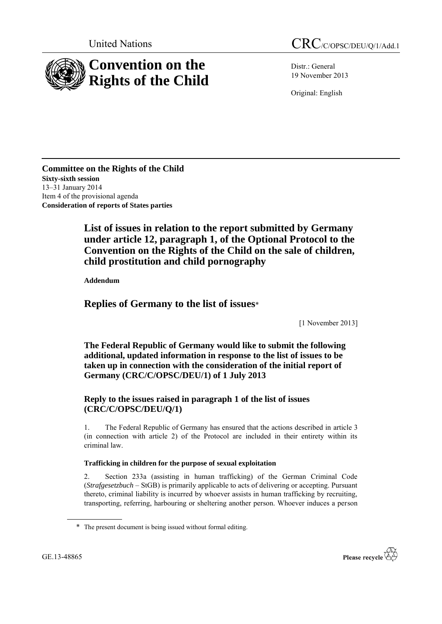

Distr.: General 19 November 2013

Original: English

**Committee on the Rights of the Child Sixty-sixth session** 13–31 January 2014 Item 4 of the provisional agenda **Consideration of reports of States parties**

> **List of issues in relation to the report submitted by Germany under article 12, paragraph 1, of the Optional Protocol to the Convention on the Rights of the Child on the sale of children, child prostitution and child pornography**

**Addendum**

# **Replies of Germany to the list of issues**\*

[1 November 2013]

**The Federal Republic of Germany would like to submit the following additional, updated information in response to the list of issues to be taken up in connection with the consideration of the initial report of Germany (CRC/C/OPSC/DEU/1) of 1 July 2013**

# **Reply to the issues raised in paragraph 1 of the list of issues (CRC/C/OPSC/DEU/Q/1)**

1. The Federal Republic of Germany has ensured that the actions described in article 3 (in connection with article 2) of the Protocol are included in their entirety within its criminal law.

## **Trafficking in children for the purpose of sexual exploitation**

2. Section 233a (assisting in human trafficking) of the German Criminal Code (*Strafgesetzbuch* – StGB) is primarily applicable to acts of delivering or accepting. Pursuant thereto, criminal liability is incurred by whoever assists in human trafficking by recruiting, transporting, referring, harbouring or sheltering another person. Whoever induces a person



<sup>\*</sup> The present document is being issued without formal editing.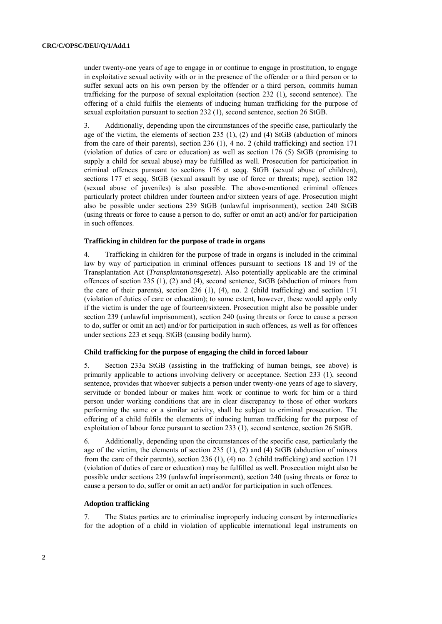under twenty-one years of age to engage in or continue to engage in prostitution, to engage in exploitative sexual activity with or in the presence of the offender or a third person or to suffer sexual acts on his own person by the offender or a third person, commits human trafficking for the purpose of sexual exploitation (section 232 (1), second sentence). The offering of a child fulfils the elements of inducing human trafficking for the purpose of sexual exploitation pursuant to section 232 (1), second sentence, section 26 StGB.

3. Additionally, depending upon the circumstances of the specific case, particularly the age of the victim, the elements of section 235 (1), (2) and (4) StGB (abduction of minors from the care of their parents), section 236 (1), 4 no. 2 (child trafficking) and section 171 (violation of duties of care or education) as well as section 176 (5) StGB (promising to supply a child for sexual abuse) may be fulfilled as well. Prosecution for participation in criminal offences pursuant to sections 176 et seqq. StGB (sexual abuse of children), sections 177 et seqq. StGB (sexual assault by use of force or threats; rape), section 182 (sexual abuse of juveniles) is also possible. The above-mentioned criminal offences particularly protect children under fourteen and/or sixteen years of age. Prosecution might also be possible under sections 239 StGB (unlawful imprisonment), section 240 StGB (using threats or force to cause a person to do, suffer or omit an act) and/or for participation in such offences.

### **Trafficking in children for the purpose of trade in organs**

4. Trafficking in children for the purpose of trade in organs is included in the criminal law by way of participation in criminal offences pursuant to sections 18 and 19 of the Transplantation Act (*Transplantationsgesetz*). Also potentially applicable are the criminal offences of section 235 (1), (2) and (4), second sentence, StGB (abduction of minors from the care of their parents), section 236 (1), (4), no. 2 (child trafficking) and section 171 (violation of duties of care or education); to some extent, however, these would apply only if the victim is under the age of fourteen/sixteen. Prosecution might also be possible under section 239 (unlawful imprisonment), section 240 (using threats or force to cause a person to do, suffer or omit an act) and/or for participation in such offences, as well as for offences under sections 223 et seqq. StGB (causing bodily harm).

## **Child trafficking for the purpose of engaging the child in forced labour**

5. Section 233a StGB (assisting in the trafficking of human beings, see above) is primarily applicable to actions involving delivery or acceptance. Section 233 (1), second sentence, provides that whoever subjects a person under twenty-one years of age to slavery, servitude or bonded labour or makes him work or continue to work for him or a third person under working conditions that are in clear discrepancy to those of other workers performing the same or a similar activity, shall be subject to criminal prosecution. The offering of a child fulfils the elements of inducing human trafficking for the purpose of exploitation of labour force pursuant to section 233 (1), second sentence, section 26 StGB.

6. Additionally, depending upon the circumstances of the specific case, particularly the age of the victim, the elements of section 235 (1), (2) and (4) StGB (abduction of minors from the care of their parents), section 236 (1), (4) no. 2 (child trafficking) and section 171 (violation of duties of care or education) may be fulfilled as well. Prosecution might also be possible under sections 239 (unlawful imprisonment), section 240 (using threats or force to cause a person to do, suffer or omit an act) and/or for participation in such offences.

### **Adoption trafficking**

7. The States parties are to criminalise improperly inducing consent by intermediaries for the adoption of a child in violation of applicable international legal instruments on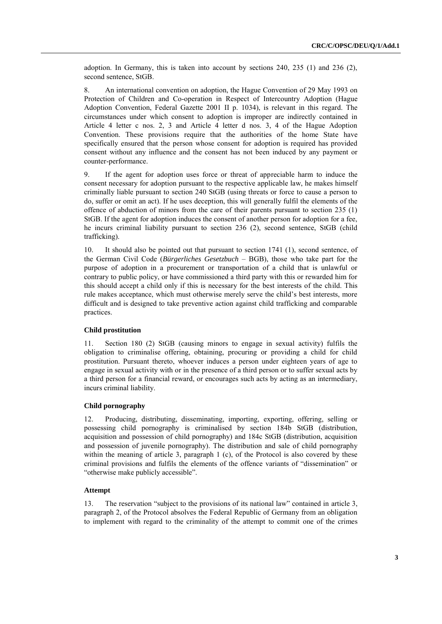adoption. In Germany, this is taken into account by sections 240, 235 (1) and 236 (2), second sentence, StGB.

8. An international convention on adoption, the Hague Convention of 29 May 1993 on Protection of Children and Co-operation in Respect of Intercountry Adoption (Hague Adoption Convention, Federal Gazette 2001 II p. 1034), is relevant in this regard. The circumstances under which consent to adoption is improper are indirectly contained in Article 4 letter c nos. 2, 3 and Article 4 letter d nos. 3, 4 of the Hague Adoption Convention. These provisions require that the authorities of the home State have specifically ensured that the person whose consent for adoption is required has provided consent without any influence and the consent has not been induced by any payment or counter-performance.

9. If the agent for adoption uses force or threat of appreciable harm to induce the consent necessary for adoption pursuant to the respective applicable law, he makes himself criminally liable pursuant to section 240 StGB (using threats or force to cause a person to do, suffer or omit an act). If he uses deception, this will generally fulfil the elements of the offence of abduction of minors from the care of their parents pursuant to section 235 (1) StGB. If the agent for adoption induces the consent of another person for adoption for a fee, he incurs criminal liability pursuant to section 236 (2), second sentence, StGB (child trafficking).

10. It should also be pointed out that pursuant to section 1741 (1), second sentence, of the German Civil Code (*Bürgerliches Gesetzbuch* – BGB), those who take part for the purpose of adoption in a procurement or transportation of a child that is unlawful or contrary to public policy, or have commissioned a third party with this or rewarded him for this should accept a child only if this is necessary for the best interests of the child. This rule makes acceptance, which must otherwise merely serve the child's best interests, more difficult and is designed to take preventive action against child trafficking and comparable practices.

## **Child prostitution**

11. Section 180 (2) StGB (causing minors to engage in sexual activity) fulfils the obligation to criminalise offering, obtaining, procuring or providing a child for child prostitution. Pursuant thereto, whoever induces a person under eighteen years of age to engage in sexual activity with or in the presence of a third person or to suffer sexual acts by a third person for a financial reward, or encourages such acts by acting as an intermediary, incurs criminal liability.

## **Child pornography**

12. Producing, distributing, disseminating, importing, exporting, offering, selling or possessing child pornography is criminalised by section 184b StGB (distribution, acquisition and possession of child pornography) and 184c StGB (distribution, acquisition and possession of juvenile pornography). The distribution and sale of child pornography within the meaning of article 3, paragraph 1 (c), of the Protocol is also covered by these criminal provisions and fulfils the elements of the offence variants of "dissemination" or "otherwise make publicly accessible".

### **Attempt**

13. The reservation "subject to the provisions of its national law" contained in article 3, paragraph 2, of the Protocol absolves the Federal Republic of Germany from an obligation to implement with regard to the criminality of the attempt to commit one of the crimes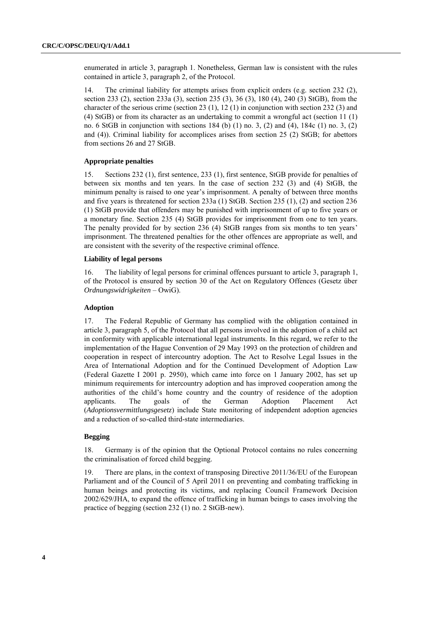enumerated in article 3, paragraph 1. Nonetheless, German law is consistent with the rules contained in article 3, paragraph 2, of the Protocol.

14. The criminal liability for attempts arises from explicit orders (e.g. section 232 (2), section 233 (2), section 233a (3), section 235 (3), 36 (3), 180 (4), 240 (3) StGB), from the character of the serious crime (section 23  $(1)$ , 12  $(1)$  in conjunction with section 232  $(3)$  and (4) StGB) or from its character as an undertaking to commit a wrongful act (section 11 (1) no. 6 StGB in conjunction with sections 184 (b) (1) no. 3, (2) and (4), 184c (1) no. 3, (2) and (4)). Criminal liability for accomplices arises from section 25 (2) StGB; for abettors from sections 26 and 27 StGB.

### **Appropriate penalties**

15. Sections 232 (1), first sentence, 233 (1), first sentence, StGB provide for penalties of between six months and ten years. In the case of section 232 (3) and (4) StGB, the minimum penalty is raised to one year's imprisonment. A penalty of between three months and five years is threatened for section 233a (1) StGB. Section 235 (1), (2) and section 236 (1) StGB provide that offenders may be punished with imprisonment of up to five years or a monetary fine. Section 235 (4) StGB provides for imprisonment from one to ten years. The penalty provided for by section 236 (4) StGB ranges from six months to ten years' imprisonment. The threatened penalties for the other offences are appropriate as well, and are consistent with the severity of the respective criminal offence.

### **Liability of legal persons**

16. The liability of legal persons for criminal offences pursuant to article 3, paragraph 1, of the Protocol is ensured by section 30 of the Act on Regulatory Offences (Gesetz über *Ordnungswidrigkeiten* – OwiG).

## **Adoption**

17. The Federal Republic of Germany has complied with the obligation contained in article 3, paragraph 5, of the Protocol that all persons involved in the adoption of a child act in conformity with applicable international legal instruments. In this regard, we refer to the implementation of the Hague Convention of 29 May 1993 on the protection of children and cooperation in respect of intercountry adoption. The Act to Resolve Legal Issues in the Area of International Adoption and for the Continued Development of Adoption Law (Federal Gazette I 2001 p. 2950), which came into force on 1 January 2002, has set up minimum requirements for intercountry adoption and has improved cooperation among the authorities of the child's home country and the country of residence of the adoption applicants. The goals of the German Adoption Placement Act (*Adoptionsvermittlungsgesetz*) include State monitoring of independent adoption agencies and a reduction of so-called third-state intermediaries.

## **Begging**

18. Germany is of the opinion that the Optional Protocol contains no rules concerning the criminalisation of forced child begging.

19. There are plans, in the context of transposing Directive 2011/36/EU of the European Parliament and of the Council of 5 April 2011 on preventing and combating trafficking in human beings and protecting its victims, and replacing Council Framework Decision 2002/629/JHA, to expand the offence of trafficking in human beings to cases involving the practice of begging (section 232 (1) no. 2 StGB-new).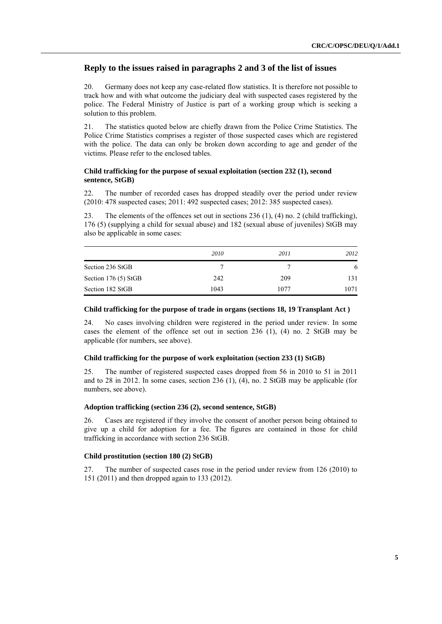## **Reply to the issues raised in paragraphs 2 and 3 of the list of issues**

20. Germany does not keep any case-related flow statistics. It is therefore not possible to track how and with what outcome the judiciary deal with suspected cases registered by the police. The Federal Ministry of Justice is part of a working group which is seeking a solution to this problem.

21. The statistics quoted below are chiefly drawn from the Police Crime Statistics. The Police Crime Statistics comprises a register of those suspected cases which are registered with the police. The data can only be broken down according to age and gender of the victims. Please refer to the enclosed tables.

## **Child trafficking for the purpose of sexual exploitation (section 232 (1), second sentence, StGB)**

22. The number of recorded cases has dropped steadily over the period under review (2010: 478 suspected cases; 2011: 492 suspected cases; 2012: 385 suspected cases).

23. The elements of the offences set out in sections 236 (1), (4) no. 2 (child trafficking), 176 (5) (supplying a child for sexual abuse) and 182 (sexual abuse of juveniles) StGB may also be applicable in some cases:

|                       | 2010 | 2011 | 2012 |
|-----------------------|------|------|------|
| Section 236 StGB      |      |      | 6    |
| Section $176(5)$ StGB | 242  | 209  | 131  |
| Section 182 StGB      | 1043 | 1077 | 1071 |

### **Child trafficking for the purpose of trade in organs (sections 18, 19 Transplant Act )**

24. No cases involving children were registered in the period under review. In some cases the element of the offence set out in section 236 (1), (4) no. 2 StGB may be applicable (for numbers, see above).

#### **Child trafficking for the purpose of work exploitation (section 233 (1) StGB)**

25. The number of registered suspected cases dropped from 56 in 2010 to 51 in 2011 and to 28 in 2012. In some cases, section 236 (1), (4), no. 2 StGB may be applicable (for numbers, see above).

### **Adoption trafficking (section 236 (2), second sentence, StGB)**

26. Cases are registered if they involve the consent of another person being obtained to give up a child for adoption for a fee. The figures are contained in those for child trafficking in accordance with section 236 StGB.

#### **Child prostitution (section 180 (2) StGB)**

27. The number of suspected cases rose in the period under review from 126 (2010) to 151 (2011) and then dropped again to 133 (2012).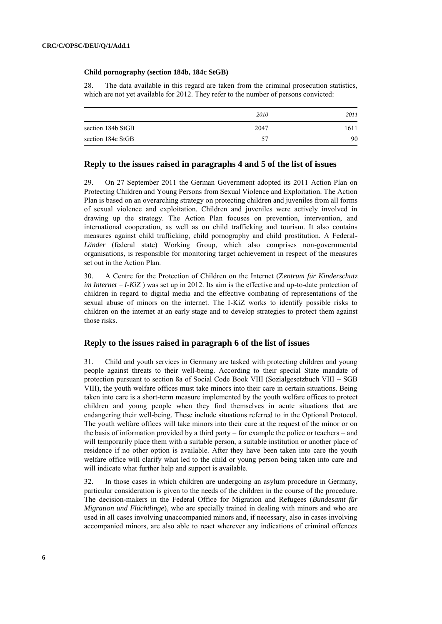### **Child pornography (section 184b, 184c StGB)**

28. The data available in this regard are taken from the criminal prosecution statistics, which are not yet available for 2012. They refer to the number of persons convicted:

|                   | 2010 | 2011 |
|-------------------|------|------|
| section 184b StGB | 2047 | 1611 |
| section 184c StGB | 57   | 90   |

## **Reply to the issues raised in paragraphs 4 and 5 of the list of issues**

29. On 27 September 2011 the German Government adopted its 2011 Action Plan on Protecting Children and Young Persons from Sexual Violence and Exploitation. The Action Plan is based on an overarching strategy on protecting children and juveniles from all forms of sexual violence and exploitation. Children and juveniles were actively involved in drawing up the strategy. The Action Plan focuses on prevention, intervention, and international cooperation, as well as on child trafficking and tourism. It also contains measures against child trafficking, child pornography and child prostitution. A Federal-*Länder* (federal state) Working Group, which also comprises non-governmental organisations, is responsible for monitoring target achievement in respect of the measures set out in the Action Plan.

30. A Centre for the Protection of Children on the Internet (Z*entrum für Kinderschutz im Internet – I-KiZ*) was set up in 2012. Its aim is the effective and up-to-date protection of children in regard to digital media and the effective combating of representations of the sexual abuse of minors on the internet. The I-KiZ works to identify possible risks to children on the internet at an early stage and to develop strategies to protect them against those risks.

## **Reply to the issues raised in paragraph 6 of the list of issues**

31. Child and youth services in Germany are tasked with protecting children and young people against threats to their well-being. According to their special State mandate of protection pursuant to section 8a of Social Code Book VIII (Sozialgesetzbuch VIII – SGB VIII), the youth welfare offices must take minors into their care in certain situations. Being taken into care is a short-term measure implemented by the youth welfare offices to protect children and young people when they find themselves in acute situations that are endangering their well-being. These include situations referred to in the Optional Protocol. The youth welfare offices will take minors into their care at the request of the minor or on the basis of information provided by a third party – for example the police or teachers – and will temporarily place them with a suitable person, a suitable institution or another place of residence if no other option is available. After they have been taken into care the youth welfare office will clarify what led to the child or young person being taken into care and will indicate what further help and support is available.

32. In those cases in which children are undergoing an asylum procedure in Germany, particular consideration is given to the needs of the children in the course of the procedure. The decision-makers in the Federal Office for Migration and Refugees (*Bundesamt für Migration und Flüchtlinge*), who are specially trained in dealing with minors and who are used in all cases involving unaccompanied minors and, if necessary, also in cases involving accompanied minors, are also able to react wherever any indications of criminal offences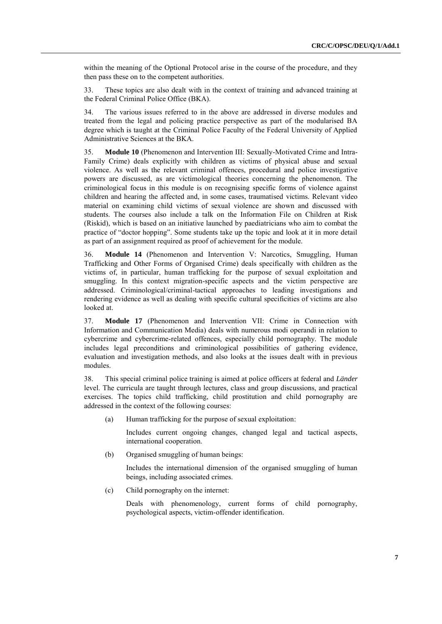within the meaning of the Optional Protocol arise in the course of the procedure, and they then pass these on to the competent authorities.

33. These topics are also dealt with in the context of training and advanced training at the Federal Criminal Police Office (BKA).

34. The various issues referred to in the above are addressed in diverse modules and treated from the legal and policing practice perspective as part of the modularised BA degree which is taught at the Criminal Police Faculty of the Federal University of Applied Administrative Sciences at the BKA.

35. **Module 10** (Phenomenon and Intervention III: Sexually-Motivated Crime and Intra-Family Crime) deals explicitly with children as victims of physical abuse and sexual violence. As well as the relevant criminal offences, procedural and police investigative powers are discussed, as are victimological theories concerning the phenomenon. The criminological focus in this module is on recognising specific forms of violence against children and hearing the affected and, in some cases, traumatised victims. Relevant video material on examining child victims of sexual violence are shown and discussed with students. The courses also include a talk on the Information File on Children at Risk (Riskid), which is based on an initiative launched by paediatricians who aim to combat the practice of "doctor hopping". Some students take up the topic and look at it in more detail as part of an assignment required as proof of achievement for the module.

36. **Module 14** (Phenomenon and Intervention V: Narcotics, Smuggling, Human Trafficking and Other Forms of Organised Crime) deals specifically with children as the victims of, in particular, human trafficking for the purpose of sexual exploitation and smuggling. In this context migration-specific aspects and the victim perspective are addressed. Criminological/criminal-tactical approaches to leading investigations and rendering evidence as well as dealing with specific cultural specificities of victims are also looked at.

37. **Module 17** (Phenomenon and Intervention VII: Crime in Connection with Information and Communication Media) deals with numerous modi operandi in relation to cybercrime and cybercrime-related offences, especially child pornography. The module includes legal preconditions and criminological possibilities of gathering evidence, evaluation and investigation methods, and also looks at the issues dealt with in previous modules.

38. This special criminal police training is aimed at police officers at federal and *Länder* level. The curricula are taught through lectures, class and group discussions, and practical exercises. The topics child trafficking, child prostitution and child pornography are addressed in the context of the following courses:

(a) Human trafficking for the purpose of sexual exploitation:

Includes current ongoing changes, changed legal and tactical aspects, international cooperation.

(b) Organised smuggling of human beings:

Includes the international dimension of the organised smuggling of human beings, including associated crimes.

(c) Child pornography on the internet:

Deals with phenomenology, current forms of child pornography, psychological aspects, victim-offender identification.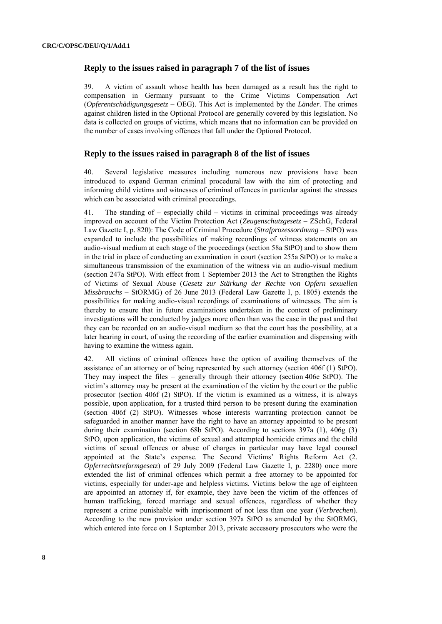## **Reply to the issues raised in paragraph 7 of the list of issues**

39. A victim of assault whose health has been damaged as a result has the right to compensation in Germany pursuant to the Crime Victims Compensation Act (*Opferentschädigungsgesetz* – OEG). This Act is implemented by the *Länder*. The crimes against children listed in the Optional Protocol are generally covered by this legislation. No data is collected on groups of victims, which means that no information can be provided on the number of cases involving offences that fall under the Optional Protocol.

## **Reply to the issues raised in paragraph 8 of the list of issues**

40. Several legislative measures including numerous new provisions have been introduced to expand German criminal procedural law with the aim of protecting and informing child victims and witnesses of criminal offences in particular against the stresses which can be associated with criminal proceedings.

41. The standing of – especially child – victims in criminal proceedings was already improved on account of the Victim Protection Act (*Zeugenschutzgesetz* – ZSchG, Federal Law Gazette I, p. 820): The Code of Criminal Procedure (*Strafprozessordnung* – StPO) was expanded to include the possibilities of making recordings of witness statements on an audio-visual medium at each stage of the proceedings (section 58a StPO) and to show them in the trial in place of conducting an examination in court (section 255a StPO) or to make a simultaneous transmission of the examination of the witness via an audio-visual medium (section 247a StPO). With effect from 1 September 2013 the Act to Strengthen the Rights of Victims of Sexual Abuse (*Gesetz zur Stärkung der Rechte von Opfern sexuellen Missbrauchs* – StORMG) of 26 June 2013 (Federal Law Gazette I, p. 1805) extends the possibilities for making audio-visual recordings of examinations of witnesses. The aim is thereby to ensure that in future examinations undertaken in the context of preliminary investigations will be conducted by judges more often than was the case in the past and that they can be recorded on an audio-visual medium so that the court has the possibility, at a later hearing in court, of using the recording of the earlier examination and dispensing with having to examine the witness again.

42. All victims of criminal offences have the option of availing themselves of the assistance of an attorney or of being represented by such attorney (section 406f (1) StPO). They may inspect the files – generally through their attorney (section 406e StPO). The victim's attorney may be present at the examination of the victim by the court or the public prosecutor (section 406f (2) StPO). If the victim is examined as a witness, it is always possible, upon application, for a trusted third person to be present during the examination (section 406f (2) StPO). Witnesses whose interests warranting protection cannot be safeguarded in another manner have the right to have an attorney appointed to be present during their examination (section 68b StPO). According to sections 397a (1), 406g (3) StPO, upon application, the victims of sexual and attempted homicide crimes and the child victims of sexual offences or abuse of charges in particular may have legal counsel appointed at the State's expense. The Second Victims' Rights Reform Act (2. *Opferrechtsreformgesetz*) of 29 July 2009 (Federal Law Gazette I, p. 2280) once more extended the list of criminal offences which permit a free attorney to be appointed for victims, especially for under-age and helpless victims. Victims below the age of eighteen are appointed an attorney if, for example, they have been the victim of the offences of human trafficking, forced marriage and sexual offences, regardless of whether they represent a crime punishable with imprisonment of not less than one year (*Verbrechen*). According to the new provision under section 397a StPO as amended by the StORMG, which entered into force on 1 September 2013, private accessory prosecutors who were the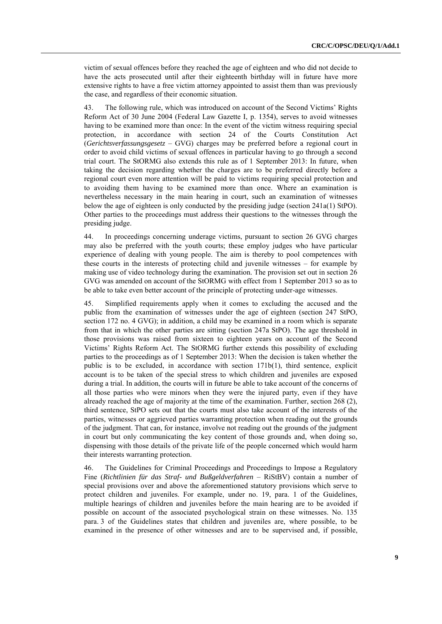victim of sexual offences before they reached the age of eighteen and who did not decide to have the acts prosecuted until after their eighteenth birthday will in future have more extensive rights to have a free victim attorney appointed to assist them than was previously the case, and regardless of their economic situation.

43. The following rule, which was introduced on account of the Second Victims' Rights Reform Act of 30 June 2004 (Federal Law Gazette I, p. 1354), serves to avoid witnesses having to be examined more than once: In the event of the victim witness requiring special protection, in accordance with section 24 of the Courts Constitution Act (*Gerichtsverfassungsgesetz* – GVG) charges may be preferred before a regional court in order to avoid child victims of sexual offences in particular having to go through a second trial court. The StORMG also extends this rule as of 1 September 2013: In future, when taking the decision regarding whether the charges are to be preferred directly before a regional court even more attention will be paid to victims requiring special protection and to avoiding them having to be examined more than once. Where an examination is nevertheless necessary in the main hearing in court, such an examination of witnesses below the age of eighteen is only conducted by the presiding judge (section 241a(1) StPO). Other parties to the proceedings must address their questions to the witnesses through the presiding judge.

44. In proceedings concerning underage victims, pursuant to section 26 GVG charges may also be preferred with the youth courts; these employ judges who have particular experience of dealing with young people. The aim is thereby to pool competences with these courts in the interests of protecting child and juvenile witnesses – for example by making use of video technology during the examination. The provision set out in section 26 GVG was amended on account of the StORMG with effect from 1 September 2013 so as to be able to take even better account of the principle of protecting under-age witnesses.

45. Simplified requirements apply when it comes to excluding the accused and the public from the examination of witnesses under the age of eighteen (section 247 StPO, section 172 no. 4 GVG); in addition, a child may be examined in a room which is separate from that in which the other parties are sitting (section 247a StPO). The age threshold in those provisions was raised from sixteen to eighteen years on account of the Second Victims' Rights Reform Act. The StORMG further extends this possibility of excluding parties to the proceedings as of 1 September 2013: When the decision is taken whether the public is to be excluded, in accordance with section 171b(1), third sentence, explicit account is to be taken of the special stress to which children and juveniles are exposed during a trial. In addition, the courts will in future be able to take account of the concerns of all those parties who were minors when they were the injured party, even if they have already reached the age of majority at the time of the examination. Further, section 268 (2), third sentence, StPO sets out that the courts must also take account of the interests of the parties, witnesses or aggrieved parties warranting protection when reading out the grounds of the judgment. That can, for instance, involve not reading out the grounds of the judgment in court but only communicating the key content of those grounds and, when doing so, dispensing with those details of the private life of the people concerned which would harm their interests warranting protection.

46. The Guidelines for Criminal Proceedings and Proceedings to Impose a Regulatory Fine (*Richtlinien für das Straf- und Bußgeldverfahren* – RiStBV) contain a number of special provisions over and above the aforementioned statutory provisions which serve to protect children and juveniles. For example, under no. 19, para. 1 of the Guidelines, multiple hearings of children and juveniles before the main hearing are to be avoided if possible on account of the associated psychological strain on these witnesses. No. 135 para. 3 of the Guidelines states that children and juveniles are, where possible, to be examined in the presence of other witnesses and are to be supervised and, if possible,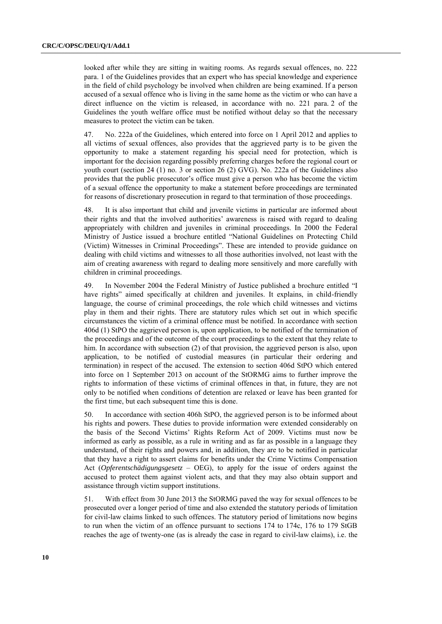looked after while they are sitting in waiting rooms. As regards sexual offences, no. 222 para. 1 of the Guidelines provides that an expert who has special knowledge and experience in the field of child psychology be involved when children are being examined. If a person accused of a sexual offence who is living in the same home as the victim or who can have a direct influence on the victim is released, in accordance with no. 221 para. 2 of the Guidelines the youth welfare office must be notified without delay so that the necessary measures to protect the victim can be taken.

47. No. 222a of the Guidelines, which entered into force on 1 April 2012 and applies to all victims of sexual offences, also provides that the aggrieved party is to be given the opportunity to make a statement regarding his special need for protection, which is important for the decision regarding possibly preferring charges before the regional court or youth court (section [24 \(1\) no. 3 or section 26 \(2\) GVG\)](http://www.juris.de/jportal/portal/t/1pxr/page/jurisw.psml?pid=Dokumentanzeige&showdoccase=1&js_peid=Trefferliste&documentnumber=1&numberofresults=5&fromdoctodoc=yes&doc.id=BJNR005130950BJNE005601814&doc.part=S&doc.price=0.0#focuspoint). No. 222a of the Guidelines also provides that the public prosecutor's office must give a person who has become the victim of a sexual offence the opportunity to make a statement before proceedings are terminated for reasons of discretionary prosecution in regard to that termination of those proceedings.

48. It is also important that child and juvenile victims in particular are informed about their rights and that the involved authorities' awareness is raised with regard to dealing appropriately with children and juveniles in criminal proceedings. In 2000 the Federal Ministry of Justice issued a brochure entitled "National Guidelines on Protecting Child (Victim) Witnesses in Criminal Proceedings". These are intended to provide guidance on dealing with child victims and witnesses to all those authorities involved, not least with the aim of creating awareness with regard to dealing more sensitively and more carefully with children in criminal proceedings.

49. In November 2004 the Federal Ministry of Justice published a brochure entitled "I have rights" aimed specifically at children and juveniles. It explains, in child-friendly language, the course of criminal proceedings, the role which child witnesses and victims play in them and their rights. There are statutory rules which set out in which specific circumstances the victim of a criminal offence must be notified. In accordance with section 406d (1) StPO the aggrieved person is, upon application, to be notified of the termination of the proceedings and of the outcome of the court proceedings to the extent that they relate to him. In accordance with subsection (2) of that provision, the aggrieved person is also, upon application, to be notified of custodial measures (in particular their ordering and termination) in respect of the accused. The extension to section 406d StPO which entered into force on 1 September 2013 on account of the StORMG aims to further improve the rights to information of these victims of criminal offences in that, in future, they are not only to be notified when conditions of detention are relaxed or leave has been granted for the first time, but each subsequent time this is done.

50. In accordance with section 406h StPO, the aggrieved person is to be informed about his rights and powers. These duties to provide information were extended considerably on the basis of the Second Victims' Rights Reform Act of 2009. Victims must now be informed as early as possible, as a rule in writing and as far as possible in a language they understand, of their rights and powers and, in addition, they are to be notified in particular that they have a right to assert claims for benefits under the Crime Victims Compensation Act (*Opferentschädigungsgesetz* – OEG), to apply for the issue of orders against the accused to protect them against violent acts, and that they may also obtain support and assistance through victim support institutions.

51. With effect from 30 June 2013 the StORMG paved the way for sexual offences to be prosecuted over a longer period of time and also extended the statutory periods of limitation for civil-law claims linked to such offences. The statutory period of limitations now begins to run when the victim of an offence pursuant to sections 174 to 174c, 176 to 179 StGB reaches the age of twenty-one (as is already the case in regard to civil-law claims), i.e. the